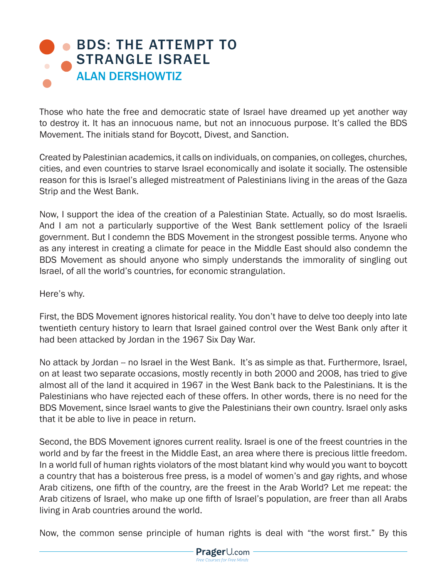## **BDS: THE ATTEMPT TO** STRANGLE ISRAEL ALAN DERSHOWTIZ

Those who hate the free and democratic state of Israel have dreamed up yet another way to destroy it. It has an innocuous name, but not an innocuous purpose. It's called the BDS Movement. The initials stand for Boycott, Divest, and Sanction.

Created by Palestinian academics, it calls on individuals, on companies, on colleges, churches, cities, and even countries to starve Israel economically and isolate it socially. The ostensible reason for this is Israel's alleged mistreatment of Palestinians living in the areas of the Gaza Strip and the West Bank.

Now, I support the idea of the creation of a Palestinian State. Actually, so do most Israelis. And I am not a particularly supportive of the West Bank settlement policy of the Israeli government. But I condemn the BDS Movement in the strongest possible terms. Anyone who as any interest in creating a climate for peace in the Middle East should also condemn the BDS Movement as should anyone who simply understands the immorality of singling out Israel, of all the world's countries, for economic strangulation.

Here's why.

First, the BDS Movement ignores historical reality. You don't have to delve too deeply into late twentieth century history to learn that Israel gained control over the West Bank only after it had been attacked by Jordan in the 1967 Six Day War.

No attack by Jordan -- no Israel in the West Bank. It's as simple as that. Furthermore, Israel, on at least two separate occasions, mostly recently in both 2000 and 2008, has tried to give almost all of the land it acquired in 1967 in the West Bank back to the Palestinians. It is the Palestinians who have rejected each of these offers. In other words, there is no need for the BDS Movement, since Israel wants to give the Palestinians their own country. Israel only asks that it be able to live in peace in return.

Second, the BDS Movement ignores current reality. Israel is one of the freest countries in the world and by far the freest in the Middle East, an area where there is precious little freedom. In a world full of human rights violators of the most blatant kind why would you want to boycott a country that has a boisterous free press, is a model of women's and gay rights, and whose Arab citizens, one fifth of the country, are the freest in the Arab World? Let me repeat: the Arab citizens of Israel, who make up one fifth of Israel's population, are freer than all Arabs living in Arab countries around the world.

Now, the common sense principle of human rights is deal with "the worst first." By this